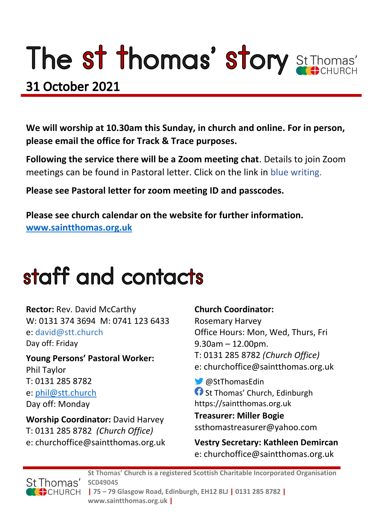# The st thomas' story St Thomas'

### **31 October 2021**

**We will worship at 10.30am this Sunday, in church and online. For in person, please email the office for Track & Trace purposes.**

**Following the service there will be a Zoom meeting chat**. Details to join Zoom meetings can be found in Pastoral letter. Click on the link in blue writing.

**Please see Pastoral letter for zoom meeting ID and passcodes.**

**Please see church calendar on the website for further information. [www.saintthomas.org.uk](http://www.saintthomas.org.uk/)**

## staff and contacts

**Rector:** Rev. David McCarthy W: 0131 374 3694 M: 0741 123 6433 e: david@stt.church Day off: Friday

**Young Persons' Pastoral Worker:** Phil Taylor T: 0131 285 8782 e: [phil@stt.church](mailto:phil@stt.church) Day off: Monday

**Worship Coordinator:** David Harvey T: 0131 285 8782 *(Church Office)* e: churchoffice@saintthomas.org.uk

#### **Church Coordinator:**

Rosemary Harvey Office Hours: Mon, Wed, Thurs, Fri 9.30am – 12.00pm. T: 0131 285 8782 *(Church Office)* e: churchoffice@saintthomas.org.uk

@StThomasEdin **St Thomas' Church, Edinburgh** https://saintthomas.org.uk

**Treasurer: Miller Bogie** ssthomastreasurer@yahoo.com

**Vestry Secretary: Kathleen Demircan**  e: churchoffice@saintthomas.org.uk



**St Thomas' Church is a registered Scottish Charitable Incorporated Organisation SC049045 | 75 – 79 Glasgow Road, Edinburgh, EH12 8LJ | 0131 285 8782 | www.saintthomas.org.uk |**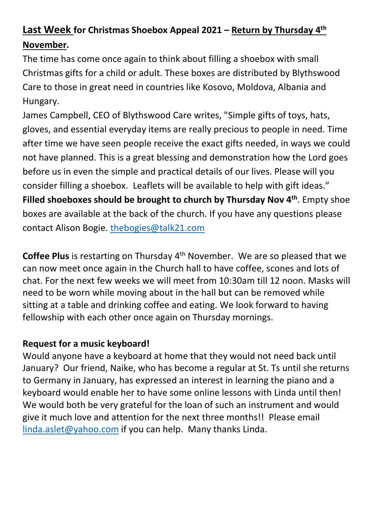### **Last Week for Christmas Shoebox Appeal 2021 – Return by Thursday 4 th November.**

The time has come once again to think about filling a shoebox with small Christmas gifts for a child or adult. These boxes are distributed by Blythswood Care to those in great need in countries like Kosovo, Moldova, Albania and Hungary.

James Campbell, CEO of Blythswood Care writes, "Simple gifts of toys, hats, gloves, and essential everyday items are really precious to people in need. Time after time we have seen people receive the exact gifts needed, in ways we could not have planned. This is a great blessing and demonstration how the Lord goes before us in even the simple and practical details of our lives. Please will you consider filling a shoebox. Leaflets will be available to help with gift ideas." **Filled shoeboxes should be brought to church by Thursday Nov 4th** . Empty shoe boxes are available at the back of the church. If you have any questions please contact Alison Bogie. [thebogies@talk21.com](mailto:thebogies@talk21.com)

**Coffee Plus** is restarting on Thursday 4<sup>th</sup> November. We are so pleased that we can now meet once again in the Church hall to have coffee, scones and lots of chat. For the next few weeks we will meet from 10:30am till 12 noon. Masks will need to be worn while moving about in the hall but can be removed while sitting at a table and drinking coffee and eating. We look forward to having fellowship with each other once again on Thursday mornings.

#### **Request for a music keyboard!**

Would anyone have a keyboard at home that they would not need back until January? Our friend, Naike, who has become a regular at St. Ts until she returns to Germany in January, has expressed an interest in learning the piano and a keyboard would enable her to have some online lessons with Linda until then! We would both be very grateful for the loan of such an instrument and would give it much love and attention for the next three months!! Please email [linda.aslet@yahoo.com](mailto:linda.aslet@yahoo.com) if you can help. Many thanks Linda.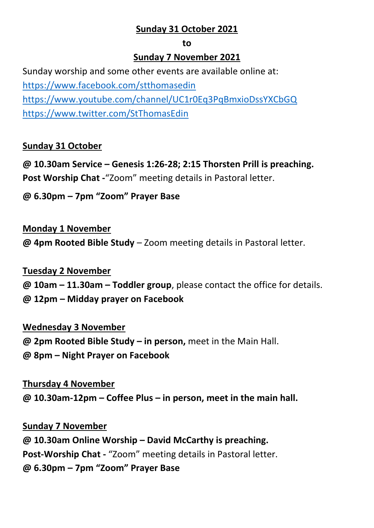#### **Sunday 31 October 2021**

#### **to**

#### **Sunday 7 November 2021**

Sunday worship and some other events are available online at: <https://www.facebook.com/stthomasedin> <https://www.youtube.com/channel/UC1r0Eq3PqBmxioDssYXCbGQ> <https://www.twitter.com/StThomasEdin>

#### **Sunday 31 October**

**@ 10.30am Service – Genesis 1:26-28; 2:15 Thorsten Prill is preaching. Post Worship Chat -**"Zoom" meeting details in Pastoral letter.

#### **@ 6.30pm – 7pm "Zoom" Prayer Base**

#### **Monday 1 November**

**@ 4pm Rooted Bible Study** – Zoom meeting details in Pastoral letter.

#### **Tuesday 2 November**

**@ 10am – 11.30am – Toddler group**, please contact the office for details.

**@ 12pm – Midday prayer on Facebook**

#### **Wednesday 3 November**

**@ 2pm Rooted Bible Study – in person,** meet in the Main Hall.

**@ 8pm – Night Prayer on Facebook** 

**Thursday 4 November @ 10.30am-12pm – Coffee Plus – in person, meet in the main hall.**

**Sunday 7 November @ 10.30am Online Worship – David McCarthy is preaching. Post-Worship Chat -** "Zoom" meeting details in Pastoral letter. **@ 6.30pm – 7pm "Zoom" Prayer Base**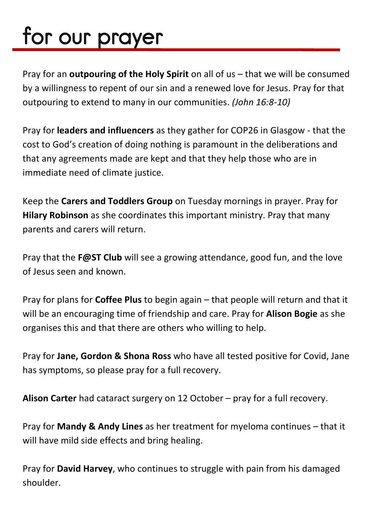# for our prayer

Pray for an **outpouring of the Holy Spirit** on all of us – that we will be consumed by a willingness to repent of our sin and a renewed love for Jesus. Pray for that outpouring to extend to many in our communities. *(John 16:8-10)*

Pray for **leaders and influencers** as they gather for COP26 in Glasgow - that the cost to God's creation of doing nothing is paramount in the deliberations and that any agreements made are kept and that they help those who are in immediate need of climate justice.

Keep the **Carers and Toddlers Group** on Tuesday mornings in prayer. Pray for **Hilary Robinson** as she coordinates this important ministry. Pray that many parents and carers will return.

Pray that the **F@ST Club** will see a growing attendance, good fun, and the love of Jesus seen and known.

Pray for plans for **Coffee Plus** to begin again – that people will return and that it will be an encouraging time of friendship and care. Pray for **Alison Bogie** as she organises this and that there are others who willing to help.

Pray for **Jane, Gordon & Shona Ross** who have all tested positive for Covid, Jane has symptoms, so please pray for a full recovery.

**Alison Carter** had cataract surgery on 12 October – pray for a full recovery.

Pray for **Mandy & Andy Lines** as her treatment for myeloma continues – that it will have mild side effects and bring healing.

Pray for **David Harvey**, who continues to struggle with pain from his damaged shoulder.